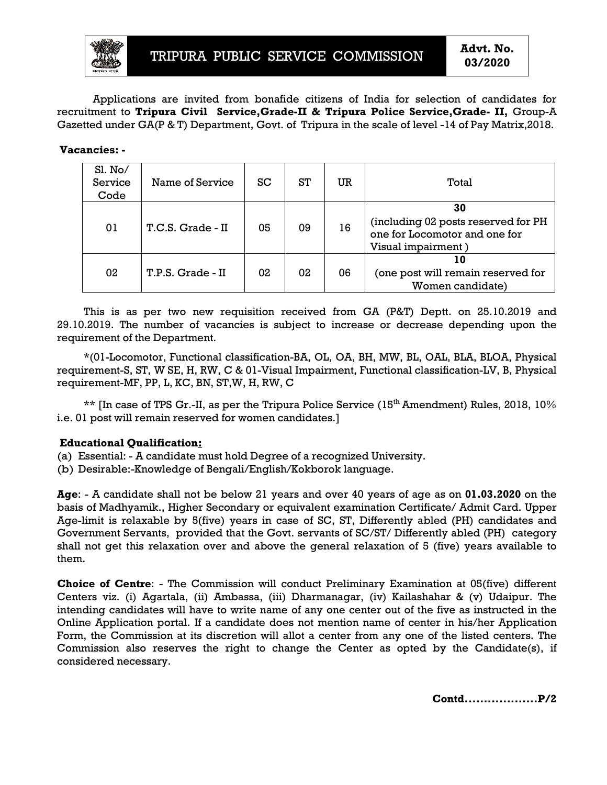

Applications are invited from bonafide citizens of India for selection of candidates for recruitment to **Tripura Civil Service Service,Grade-II & Tripura Police Service,Grade Grade- II,** Group-A Gazetted under GA(P & T) Department, Govt. of Tripura in the scale of level -14 of Pay Matrix,2018.

**Vacancies: -** 

|                            | TRIPURA PUBLIC SERVICE COMMISSION                                                                                                                                                                                                                                                                                                                                                                                                                                                                                                   |    |    |    |                                                                                                  | Advt. No.<br>03/2020                                         |  |
|----------------------------|-------------------------------------------------------------------------------------------------------------------------------------------------------------------------------------------------------------------------------------------------------------------------------------------------------------------------------------------------------------------------------------------------------------------------------------------------------------------------------------------------------------------------------------|----|----|----|--------------------------------------------------------------------------------------------------|--------------------------------------------------------------|--|
|                            | Applications are invited from bonafide citizens of India for selection of candidates for<br>uitment to Tripura Civil Service, Grade-II & Tripura Police Service, Grade- II, Group-F<br>stted under GA(P & T) Department, Govt. of Tripura in the scale of level -14 of Pay Matrix,2018.                                                                                                                                                                                                                                             |    |    |    |                                                                                                  |                                                              |  |
| <b>ancies: -</b>           |                                                                                                                                                                                                                                                                                                                                                                                                                                                                                                                                     |    |    |    |                                                                                                  |                                                              |  |
| Sl. No/<br>Service<br>Code | Name of Service                                                                                                                                                                                                                                                                                                                                                                                                                                                                                                                     | SC | ST | UR | Total                                                                                            |                                                              |  |
| 01                         | T.C.S. Grade - II                                                                                                                                                                                                                                                                                                                                                                                                                                                                                                                   | 05 | 09 | 16 | 30<br>(including 02 posts reserved for PH<br>one for Locomotor and one for<br>Visual impairment) |                                                              |  |
| 02                         | T.P.S. Grade - II                                                                                                                                                                                                                                                                                                                                                                                                                                                                                                                   | 02 | 02 | 06 |                                                                                                  | 10<br>(one post will remain reserved for<br>Women candidate) |  |
|                            | 0.2019. The number of vacancies is subject to increase or decrease depending upon the<br>irement of the Department.<br>*(01-Locomotor, Functional classification-BA, OL, OA, BH, MW, BL, OAL, BLA, BLOA, Physica<br>irement-S, ST, W SE, H, RW, C & 01-Visual Impairment, Functional classification-LV, B, Physica<br>irement-MF, PP, L, KC, BN, ST,W, H, RW, C<br>** [In case of TPS Gr.-II, as per the Tripura Police Service (15 <sup>th</sup> Amendment) Rules, 2018, 10%<br>1 post will remain reserved for women candidates.] |    |    |    |                                                                                                  |                                                              |  |
|                            | cational Qualification <u>:</u><br>Essential: - A candidate must hold Degree of a recognized University.<br>Desirable:-Knowledge of Bengali/English/Kokborok language.                                                                                                                                                                                                                                                                                                                                                              |    |    |    |                                                                                                  |                                                              |  |
|                            | - A candidate shall not be below 21 years and over 40 years of age as on 01.03.2020 on the<br>s of Madhyamik., Higher Secondary or equivalent examination Certificate/ Admit Card. Uppe:<br>limit is relaxable by 5(five) years in case of SC, ST, Differently abled (PH) candidates and<br>ernment Servants,provided that the Govt. servants of SC/ST/ Differently abled (PH)  category<br>not get this relaxation over and above the general relaxation of 5 (five) years available to                                            |    |    |    |                                                                                                  |                                                              |  |
|                            | <b>ice of Centre</b> : - The Commission will conduct Preliminary Examination at 05(five) differen<br>ers viz. (i) Agartala, (ii) Ambassa, (iii) Dharmanagar, (iv) Kailashahar & (v) Udaipur. The<br>iding candidates will have to write name of any one center out of the five as instructed in the<br>ne Application portal. If a candidate does not mention name of center in his/her Applicatior                                                                                                                                 |    |    |    |                                                                                                  |                                                              |  |

This is as per two new requisition received from GA (P&T) Deptt. on 25.10.2019 and 29.10.2019. The number of vacancies is subject to increase or decrease depending upon the requirement of the Department. .2019. The number of vacancies is subject to increase or decrease depending upon the<br>rement of the Department.<br>\*(01-Locomotor, Functional classification-BA, OL, OA, BH, MW, BL, OAL, BLA, BLOA, Physical

requirement-S, ST, W SE, H, RW, C & 01-Visual Impairment, Functional classification-LV, B, Physical requirement-MF, PP, L, KC, BN, ST,W, H, RW, C

 $**$  [In case of TPS Gr.-II, as per the Tripura Police Service (15<sup>th</sup> Amendment) Rules, 2018, 10% i.e. 01 post will remain reserved for women candidates.]

#### **Educational Qualification:**

(a) Essential: - A candidate must hold Degree of a recognized University.

(a) Essential: - A candidate must hold Degree of a recognized Univ<br>(b) Desirable:-Knowledge of Bengali/English/Kokborok language.

**Age**: - A candidate shall not be below 21 years and over 40 years of age as on **01.03.2020** on the basis of Madhyamik., Higher Secondary or equivalent examination Certificate/ Admit Card. Age-limit is relaxable by 5(five) years in case of SC, ST, Differently abled (PH) candidates and Government Servants, provided that the Govt. servants of SC/ST/ Differently abled (PH) category shall not get this relaxation over and above the general relaxation of 5 (five) years available to them. Government Servants, provided that the Govt. servants of SC/ST/ Differently abled (PH) category<br>shall not get this relaxation over and above the general relaxation of 5 (five) years available to<br>them.<br>**Choice of Centre**: all not be below 21 years and over 40 years of age as on **01.03.2020** on the Higher Secondary or equivalent examination Certificate/ Admit Card. Upper<br>• by 5(five) years in case of SC, ST, Differently abled (PH) candidates Card. Upper

Centers viz. (i) Agartala, (ii) Ambassa, (iii) Dharmanagar, (iv) Kailashahar & (v) Udaipur. The intending candidates will have to write name of any one center out of the five as instructed in the Online Application portal. If a candidate does not mention name of center in his/her Application Form, the Commission at its discretion will allot a center from any one of the listed centers. The Form, the Commission at its discretion will allot a center from any one of the listed centers. The<br>Commission also reserves the right to change the Center as opted by the Candidate(s), if considered necessary.

**Contd...................P/2**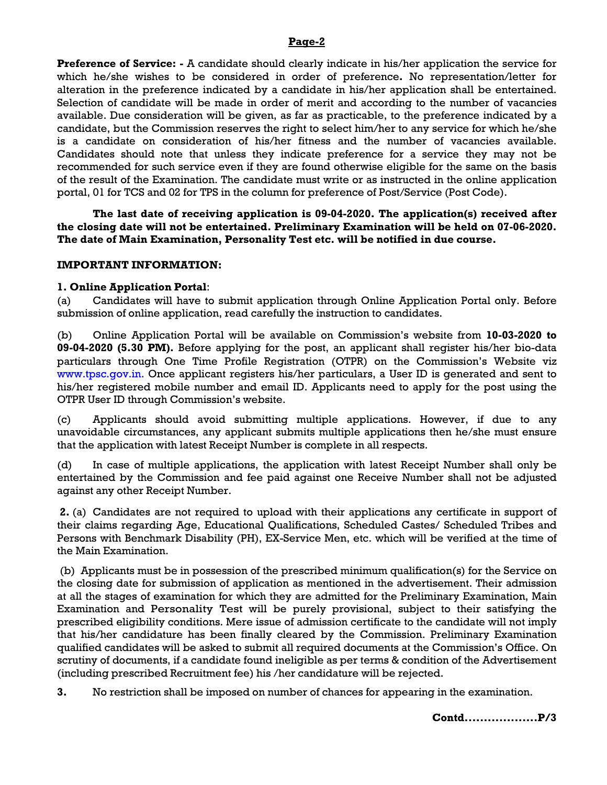### **Page-2**

**Preference of Service: -** A candidate should clearly indicate in his/her application the service for which he/she wishes to be considered in order of preference**.** No representation/letter for alteration in the preference indicated by a candidate in his/her application shall be entertained. Selection of candidate will be made in order of merit and according to the number of vacancies available. Due consideration will be given, as far as practicable, to the preference indicated by a candidate, but the Commission reserves the right to select him/her to any service for which he/she is a candidate on consideration of his/her fitness and the number of vacancies available. Candidates should note that unless they indicate preference for a service they may not be recommended for such service even if they are found otherwise eligible for the same on the basis of the result of the Examination. The candidate must write or as instructed in the online application portal, 01 for TCS and 02 for TPS in the column for preference of Post/Service (Post Code).

 **The last date of receiving application is 09-04-2020. The application(s) received after the closing date will not be entertained. Preliminary Examination will be held on 07-06-2020. The date of Main Examination, Personality Test etc. will be notified in due course.** 

#### **IMPORTANT INFORMATION:**

#### **1. Online Application Portal**:

(a) Candidates will have to submit application through Online Application Portal only. Before submission of online application, read carefully the instruction to candidates.

(b) Online Application Portal will be available on Commission's website from **10-03-2020 to 09-04-2020 (5.30 PM).** Before applying for the post, an applicant shall register his/her bio-data particulars through One Time Profile Registration (OTPR) on the Commission's Website viz www.tpsc.gov.in. Once applicant registers his/her particulars, a User ID is generated and sent to his/her registered mobile number and email ID. Applicants need to apply for the post using the OTPR User ID through Commission's website.

(c) Applicants should avoid submitting multiple applications. However, if due to any unavoidable circumstances, any applicant submits multiple applications then he/she must ensure that the application with latest Receipt Number is complete in all respects.

(d) In case of multiple applications, the application with latest Receipt Number shall only be entertained by the Commission and fee paid against one Receive Number shall not be adjusted against any other Receipt Number.

 **2.** (a)Candidates are not required to upload with their applications any certificate in support of their claims regarding Age, Educational Qualifications, Scheduled Castes/ Scheduled Tribes and Persons with Benchmark Disability (PH), EX-Service Men, etc. which will be verified at the time of the Main Examination.

 (b) Applicants must be in possession of the prescribed minimum qualification(s) for the Service on the closing date for submission of application as mentioned in the advertisement. Their admission at all the stages of examination for which they are admitted for the Preliminary Examination, Main Examination and Personality Test will be purely provisional, subject to their satisfying the prescribed eligibility conditions. Mere issue of admission certificate to the candidate will not imply that his/her candidature has been finally cleared by the Commission. Preliminary Examination qualified candidates will be asked to submit all required documents at the Commission's Office. On scrutiny of documents, if a candidate found ineligible as per terms & condition of the Advertisement (including prescribed Recruitment fee) his /her candidature will be rejected.

**3.** No restriction shall be imposed on number of chances for appearing in the examination.

**Contd...................P/3**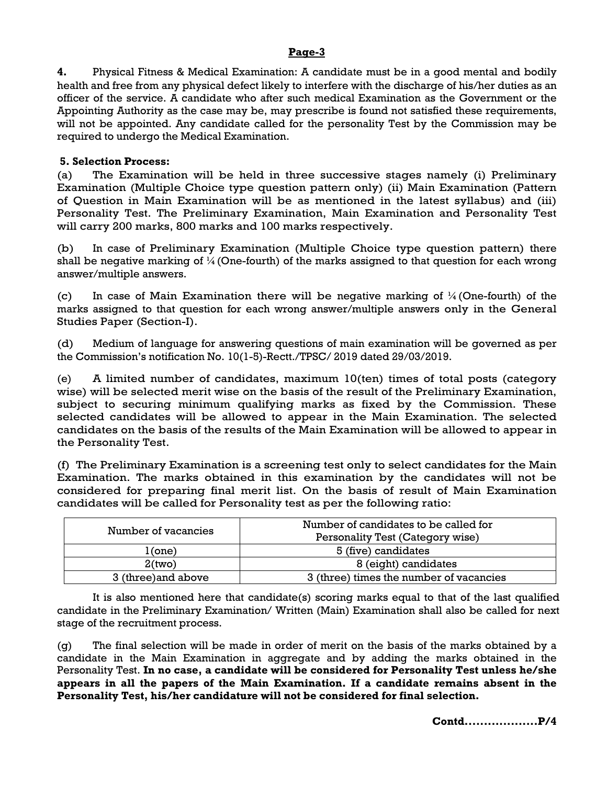## **Page-3**

**4.** Physical Fitness & Medical Examination: A candidate must be in a good mental and bodily health and free from any physical defect likely to interfere with the discharge of his/her duties as an officer of the service. A candidate who after such medical Examination as the Government or the Appointing Authority as the case may be, may prescribe is found not satisfied these requirements, will not be appointed. Any candidate called for the personality Test by the Commission may be required to undergo the Medical Examination.

## **5. Selection Process:**

(a) The Examination will be held in three successive stages namely (i) Preliminary Examination (Multiple Choice type question pattern only) (ii) Main Examination (Pattern of Question in Main Examination will be as mentioned in the latest syllabus) and (iii) Personality Test. The Preliminary Examination, Main Examination and Personality Test will carry 200 marks, 800 marks and 100 marks respectively.

(b) In case of Preliminary Examination (Multiple Choice type question pattern) there shall be negative marking of  $\frac{1}{4}$  (One-fourth) of the marks assigned to that question for each wrong answer/multiple answers.

(c) In case of Main Examination there will be negative marking of  $\frac{1}{4}$  (One-fourth) of the marks assigned to that question for each wrong answer/multiple answers only in the General Studies Paper (Section-I).

(d) Medium of language for answering questions of main examination will be governed as per the Commission's notification No. 10(1-5)-Rectt./TPSC/ 2019 dated 29/03/2019.

(e) A limited number of candidates, maximum 10(ten) times of total posts (category wise) will be selected merit wise on the basis of the result of the Preliminary Examination, subject to securing minimum qualifying marks as fixed by the Commission. These selected candidates will be allowed to appear in the Main Examination. The selected candidates on the basis of the results of the Main Examination will be allowed to appear in the Personality Test.

(f) The Preliminary Examination is a screening test only to select candidates for the Main Examination. The marks obtained in this examination by the candidates will not be considered for preparing final merit list. On the basis of result of Main Examination candidates will be called for Personality test as per the following ratio:

| Number of vacancies | Number of candidates to be called for<br>Personality Test (Category wise) |  |  |
|---------------------|---------------------------------------------------------------------------|--|--|
| 1(one)              | 5 (five) candidates                                                       |  |  |
| 2(two)              | 8 (eight) candidates                                                      |  |  |
| 3 (three) and above | 3 (three) times the number of vacancies                                   |  |  |

It is also mentioned here that candidate(s) scoring marks equal to that of the last qualified candidate in the Preliminary Examination/ Written (Main) Examination shall also be called for next stage of the recruitment process.

(g) The final selection will be made in order of merit on the basis of the marks obtained by a candidate in the Main Examination in aggregate and by adding the marks obtained in the Personality Test. **In no case, a candidate will be considered for Personality Test unless he/she appears in all the papers of the Main Examination. If a candidate remains absent in the Personality Test, his/her candidature will not be considered for final selection.** 

**Contd...................P/4**